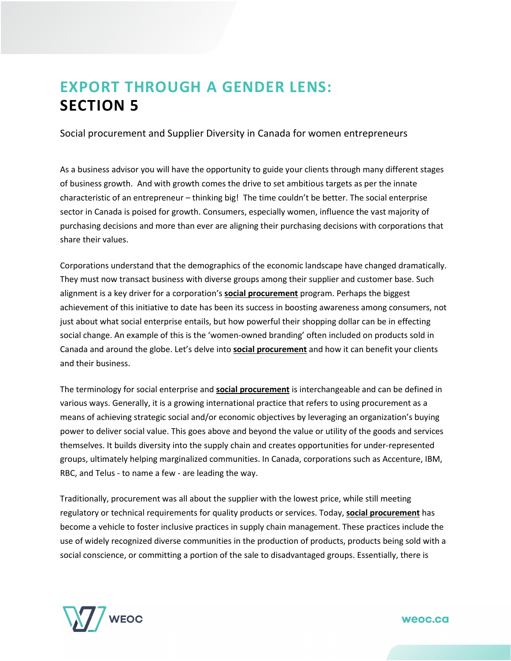## **EXPORT THROUGH A GENDER LENS: SECTION 5**

Social procurement and Supplier Diversity in Canada for women entrepreneurs

As a business advisor you will have the opportunity to guide your clients through many different stages of business growth. And with growth comes the drive to set ambitious targets as per the innate characteristic of an entrepreneur – thinking big! The time couldn't be better. The social enterprise sector in Canada is poised for growth. Consumers, especially women, influence the vast majority of purchasing decisions and more than ever are aligning their purchasing decisions with corporations that share their values.

Corporations understand that the demographics of the economic landscape have changed dramatically. They must now transact business with diverse groups among their supplier and customer base. Such alignment is a key driver for a corporation's **[social procurement](https://youtu.be/mVyPWzyqLEU)** program. Perhaps the biggest achievement of this initiative to date has been its success in boosting awareness among consumers, not just about what social enterprise entails, but how powerful their shopping dollar can be in effecting social change. An example of this is the 'women-owned branding' often included on products sold in Canada and around the globe. Let's delve into **[social procurement](https://youtu.be/mVyPWzyqLEU)** and how it can benefit your clients and their business.

The terminology for social enterprise and **[social procurement](https://youtu.be/mVyPWzyqLEU)** is interchangeable and can be defined in various ways. Generally, it is a growing international practice that refers to using procurement as a means of achieving strategic social and/or economic objectives by leveraging an organization's buying power to deliver social value. This goes above and beyond the value or utility of the goods and services themselves. It builds diversity into the supply chain and creates opportunities for under-represented groups, ultimately helping marginalized communities. In Canada, corporations such as Accenture, IBM, RBC, and Telus - to name a few - are leading the way.

Traditionally, procurement was all about the supplier with the lowest price, while still meeting regulatory or technical requirements for quality products or services. Today, **[social procurement](https://youtu.be/mVyPWzyqLEU)** has become a vehicle to foster inclusive practices in supply chain management. These practices include the use of widely recognized diverse communities in the production of products, products being sold with a social conscience, or committing a portion of the sale to disadvantaged groups. Essentially, there is

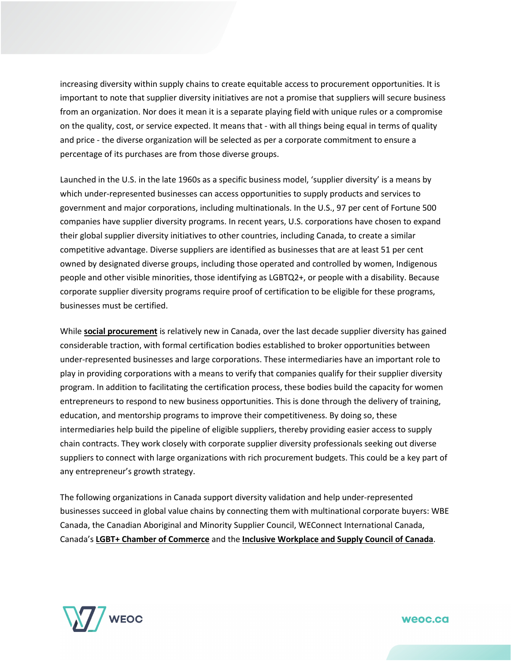increasing diversity within supply chains to create equitable access to procurement opportunities. It is important to note that supplier diversity initiatives are not a promise that suppliers will secure business from an organization. Nor does it mean it is a separate playing field with unique rules or a compromise on the quality, cost, or service expected. It means that - with all things being equal in terms of quality and price - the diverse organization will be selected as per a corporate commitment to ensure a percentage of its purchases are from those diverse groups.

Launched in the U.S. in the late 1960s as a specific business model, 'supplier diversity' is a means by which under-represented businesses can access opportunities to supply products and services to government and major corporations, including multinationals. In the U.S., 97 per cent of Fortune 500 companies have supplier diversity programs. In recent years, U.S. corporations have chosen to expand their global supplier diversity initiatives to other countries, including Canada, to create a similar competitive advantage. Diverse suppliers are identified as businesses that are at least 51 per cent owned by designated diverse groups, including those operated and controlled by women, Indigenous people and other visible minorities, those identifying as LGBTQ2+, or people with a disability. Because corporate supplier diversity programs require proof of certification to be eligible for these programs, businesses must be certified.

While **[social procurement](https://youtu.be/mVyPWzyqLEU)** is relatively new in Canada, over the last decade supplier diversity has gained considerable traction, with formal certification bodies established to broker opportunities between under-represented businesses and large corporations. These intermediaries have an important role to play in providing corporations with a means to verify that companies qualify for their supplier diversity program. In addition to facilitating the certification process, these bodies build the capacity for women entrepreneurs to respond to new business opportunities. This is done through the delivery of training, education, and mentorship programs to improve their competitiveness. By doing so, these intermediaries help build the pipeline of eligible suppliers, thereby providing easier access to supply chain contracts. They work closely with corporate supplier diversity professionals seeking out diverse suppliers to connect with large organizations with rich procurement budgets. This could be a key part of any entrepreneur's growth strategy.

The following organizations in Canada support diversity validation and help under-represented businesses succeed in global value chains by connecting them with multinational corporate buyers: WBE Canada, the Canadian Aboriginal and Minority Supplier Council, WEConnect International Canada, Canada's **[LGBT+ Chamber of Commerce](https://www.cglcc.ca/)** and the **[Inclusive Workplace and Supply Council of Canada](https://iwscc.ca/)**.

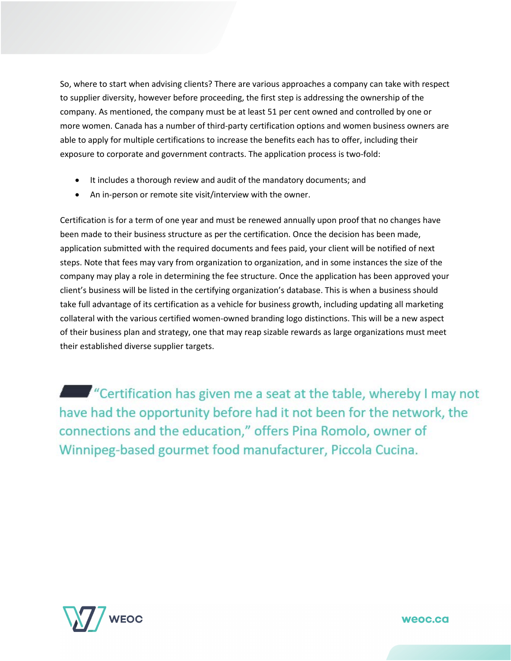So, where to start when advising clients? There are various approaches a company can take with respect to supplier diversity, however before proceeding, the first step is addressing the ownership of the company. As mentioned, the company must be at least 51 per cent owned and controlled by one or more women. Canada has a number of third-party certification options and women business owners are able to apply for multiple certifications to increase the benefits each has to offer, including their exposure to corporate and government contracts. The application process is two-fold:

- It includes a thorough review and audit of the mandatory documents; and
- An in-person or remote site visit/interview with the owner.

Certification is for a term of one year and must be renewed annually upon proof that no changes have been made to their business structure as per the certification. Once the decision has been made, application submitted with the required documents and fees paid, your client will be notified of next steps. Note that fees may vary from organization to organization, and in some instances the size of the company may play a role in determining the fee structure. Once the application has been approved your client's business will be listed in the certifying organization's database. This is when a business should take full advantage of its certification as a vehicle for business growth, including updating all marketing collateral with the various certified women-owned branding logo distinctions. This will be a new aspect of their business plan and strategy, one that may reap sizable rewards as large organizations must meet their established diverse supplier targets.

**Example 1** "Certification has given me a seat at the table, whereby I may not have had the opportunity before had it not been for the network, the connections and the education," offers Pina Romolo, owner of Winnipeg-based gourmet food manufacturer, Piccola Cucina.

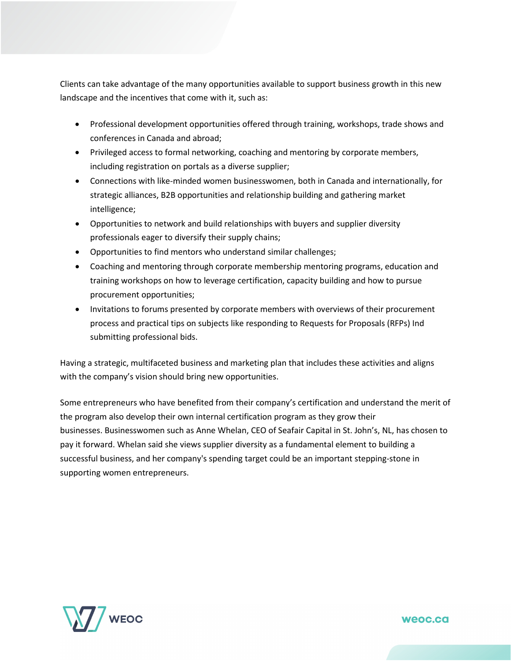Clients can take advantage of the many opportunities available to support business growth in this new landscape and the incentives that come with it, such as:

- Professional development opportunities offered through training, workshops, trade shows and conferences in Canada and abroad;
- Privileged access to formal networking, coaching and mentoring by corporate members, including registration on portals as a diverse supplier;
- Connections with like-minded women businesswomen, both in Canada and internationally, for strategic alliances, B2B opportunities and relationship building and gathering market intelligence;
- Opportunities to network and build relationships with buyers and supplier diversity professionals eager to diversify their supply chains;
- Opportunities to find mentors who understand similar challenges;
- Coaching and mentoring through corporate membership mentoring programs, education and training workshops on how to leverage certification, capacity building and how to pursue procurement opportunities;
- Invitations to forums presented by corporate members with overviews of their procurement process and practical tips on subjects like responding to Requests for Proposals (RFPs) Ind submitting professional bids.

Having a strategic, multifaceted business and marketing plan that includes these activities and aligns with the company's vision should bring new opportunities.

Some entrepreneurs who have benefited from their company's certification and understand the merit of the program also develop their own internal certification program as they grow their businesses. Businesswomen such as Anne Whelan, CEO of Seafair Capital in St. John's, NL, has chosen to pay it forward. Whelan said she views supplier diversity as a fundamental element to building a successful business, and her company's spending target could be an important stepping-stone in supporting women entrepreneurs.